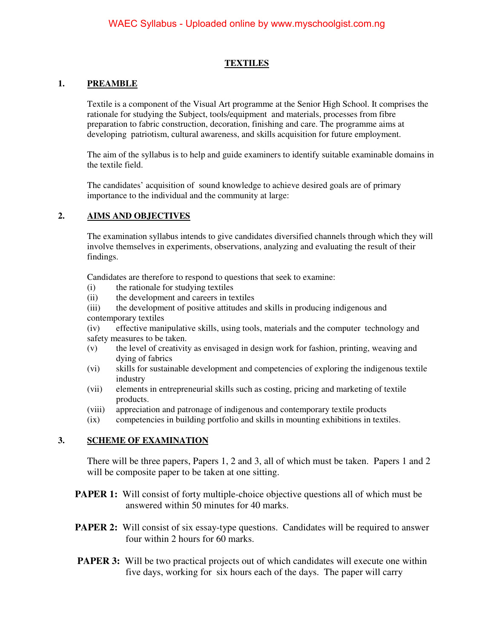#### **TEXTILES**

#### **1. PREAMBLE**

Textile is a component of the Visual Art programme at the Senior High School. It comprises the rationale for studying the Subject, tools/equipment and materials, processes from fibre preparation to fabric construction, decoration, finishing and care. The programme aims at developing patriotism, cultural awareness, and skills acquisition for future employment.

The aim of the syllabus is to help and guide examiners to identify suitable examinable domains in the textile field.

The candidates' acquisition of sound knowledge to achieve desired goals are of primary importance to the individual and the community at large:

### **2. AIMS AND OBJECTIVES**

The examination syllabus intends to give candidates diversified channels through which they will involve themselves in experiments, observations, analyzing and evaluating the result of their findings.

Candidates are therefore to respond to questions that seek to examine:

- (i) the rationale for studying textiles
- (ii) the development and careers in textiles
- (iii) the development of positive attitudes and skills in producing indigenous and contemporary textiles

(iv) effective manipulative skills, using tools, materials and the computer technology and safety measures to be taken.

- (v) the level of creativity as envisaged in design work for fashion, printing, weaving and dying of fabrics
- (vi) skills for sustainable development and competencies of exploring the indigenous textile industry
- (vii) elements in entrepreneurial skills such as costing, pricing and marketing of textile products.
- (viii) appreciation and patronage of indigenous and contemporary textile products
- (ix) competencies in building portfolio and skills in mounting exhibitions in textiles.

#### **3. SCHEME OF EXAMINATION**

There will be three papers, Papers 1, 2 and 3, all of which must be taken. Papers 1 and 2 will be composite paper to be taken at one sitting.

- **PAPER 1:** Will consist of forty multiple-choice objective questions all of which must be answered within 50 minutes for 40 marks.
- **PAPER 2:** Will consist of six essay-type questions. Candidates will be required to answer four within 2 hours for 60 marks.
- **PAPER 3:** Will be two practical projects out of which candidates will execute one within five days, working for six hours each of the days. The paper will carry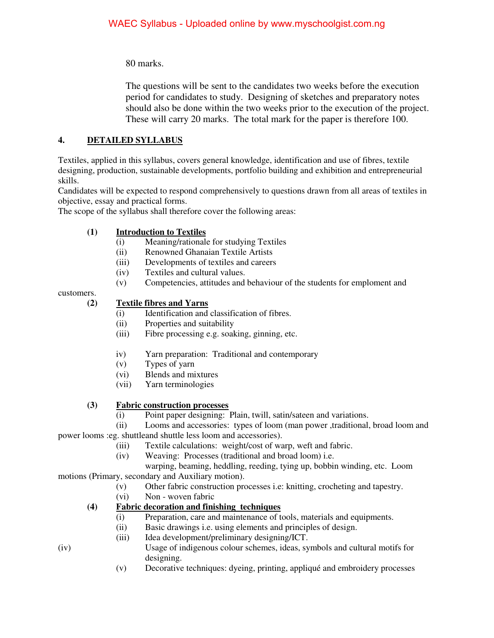80 marks.

 The questions will be sent to the candidates two weeks before the execution period for candidates to study. Designing of sketches and preparatory notes should also be done within the two weeks prior to the execution of the project. These will carry 20 marks. The total mark for the paper is therefore 100.

# **4. DETAILED SYLLABUS**

Textiles, applied in this syllabus, covers general knowledge, identification and use of fibres, textile designing, production, sustainable developments, portfolio building and exhibition and entrepreneurial skills.

Candidates will be expected to respond comprehensively to questions drawn from all areas of textiles in objective, essay and practical forms.

The scope of the syllabus shall therefore cover the following areas:

# **(1) Introduction to Textiles**

- (i) Meaning/rationale for studying Textiles
- (ii) Renowned Ghanaian Textile Artists
- (iii) Developments of textiles and careers
- (iv) Textiles and cultural values.
- (v) Competencies, attitudes and behaviour of the students for emploment and

customers.

## **(2) Textile fibres and Yarns**

- (i) Identification and classification of fibres.
- (ii) Properties and suitability
- (iii) Fibre processing e.g. soaking, ginning, etc.
- iv) Yarn preparation: Traditional and contemporary
- (v) Types of yarn
- (vi) Blends and mixtures
- (vii) Yarn terminologies

# **(3) Fabric construction processes**

(i) Point paper designing: Plain, twill, satin/sateen and variations.

 (ii) Looms and accessories: types of loom (man power ,traditional, broad loom and power looms :eg. shuttleand shuttle less loom and accessories).

- (iii) Textile calculations: weight/cost of warp, weft and fabric.
- (iv) Weaving: Processes (traditional and broad loom) i.e.

 warping, beaming, heddling, reeding, tying up, bobbin winding, etc. Loom motions (Primary, secondary and Auxiliary motion).

- (v) Other fabric construction processes i.e: knitting, crocheting and tapestry.
- (vi) Non woven fabric
- **(4) Fabric decoration and finishing techniques** 
	- (i) Preparation, care and maintenance of tools, materials and equipments.
	- (ii) Basic drawings i.e. using elements and principles of design.
	- (iii) Idea development/preliminary designing/ICT.
- (iv) Usage of indigenous colour schemes, ideas, symbols and cultural motifs for designing.
	- (v) Decorative techniques: dyeing, printing, appliqué and embroidery processes